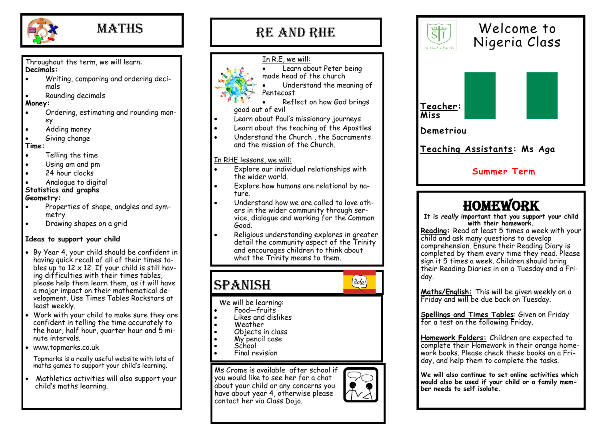

## **MATHS**

Throughout the term, we will learn: **Decimals:**

- Writing, comparing and ordering decimals
- Rounding decimals

#### **Money:**

- Ordering, estimating and rounding money
- Adding money
- Giving change

#### **Time:**

- Telling the time
- Using am and pm
- 24 hour clocks
- Analogue to digital

#### **Statistics and graphs Geometry:**

- Properties of shape, andgles and symmetry
- Drawing shapes on a grid

#### **Ideas to support your child**

- By Year 4, your child should be confident in having quick recall of all of their times tables up to  $12 \times 12$ . If your child is still having difficulties with their times tables, please help them learn them, as it will have a major impact on their mathematical development. Use Times Tables Rockstars at least weekly.
- Work with your child to make sure they are confident in telling the time accurately to the hour, half hour, quarter hour and 5 minute intervals.
- www.topmarks.co.uk

Topmarks is a really useful website with lots of maths games to support your child's learning.

• Mathletics activities will also support your child's maths learning.



#### In R.E, we will: Learn about Peter being made head of the church

• Reflect on how God brings

- Understand the meaning of
- Pentecost
- good out of evil
- Learn about Paul's missionary journeys
- Learn about the teaching of the Apostles
- Understand the Church, the Sacraments and the mission of the Church.

#### In RHE lessons, we will:

- Explore our individual relationships with the wider world.
- Explore how humans are relational by nature.
- Understand how we are called to love others in the wider community through service, dialogue and working for the Common Good.
- Religious understanding explores in greater detail the community aspect of the Trinity and encourages children to think about what the Trinity means to them.

## SPANISH



#### We will be learning:

- Food—fruits
- Likes and dislikes
- Weather
- Objects in class
- My pencil case
- School
- Final revision

Ms Crome is available after school if you would like to see her for a chat about your child or any concerns you have about year 4, otherwise please contact her via Class Dojo.



**Maths/English:** This will be given weekly on a Friday and will be due back on Tuesday.

**Spellings and Times Tables**: Given on Friday for a test on the following Friday.

**Homework Folders:** Children are expected to complete their Homework in their orange homework books. Please check these books on a Friday, and help them to complete the tasks.

**We will also continue to set online activities which would also be used if your child or a family member needs to self isolate.**